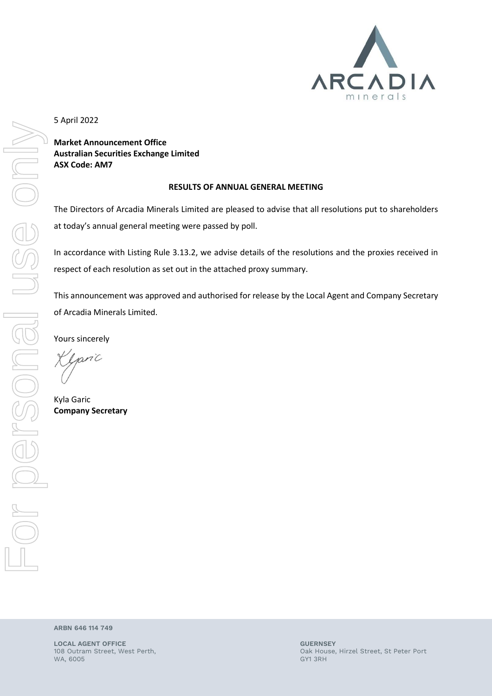

5 April 2022

**Market Announcement Office Australian Securities Exchange Limited ASX Code: AM7**

## **RESULTS OF ANNUAL GENERAL MEETING**

The Directors of Arcadia Minerals Limited are pleased to advise that all resolutions put to shareholders at today's annual general meeting were passed by poll.

In accordance with Listing Rule 3.13.2, we advise details of the resolutions and the proxies received in respect of each resolution as set out in the attached proxy summary.

This announcement was approved and authorised for release by the Local Agent and Company Secretary of Arcadia Minerals Limited.

Yours sincerely

 $nniC$ 

Kyla Garic **Company Secretary**

**ARBN 646 114 749**

**LOCAL AGENT OFFICE GUERNSEY** WA, 6005 GY1 3RH

108 Outram Street, West Perth, Oak House, Hirzel Street, St Peter Port